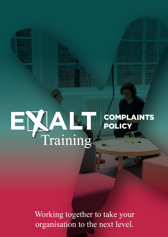# E ALT Training COMPLAINTS POLICY

Working together to take your organisation to the next level.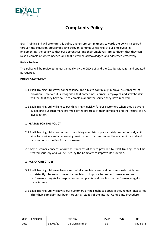

# **Complaints Policy**

Exalt Training Ltd will promote this policy and ensure commitment towards the policy is secured through the induction programme and through continuous training of our employees in implementing the policy so that our apprentices and their employers are confident that they can raise a complaint where needed and that its will be acknowledged and addressed effectively.

#### **Policy Review**

This policy will be reviewed at least annually by the CEO, SLT and the Quality Manager and updated as required.

#### **POLICY STATEMENT**

- 1.1 Exalt Training Ltd strives for excellence and aims to continually improve its standards of provision. However, it is recognised that sometimes learners, employers and stakeholders will feel that they have cause to complain about the service they have received.
- 1.2 Exalt Training Ltd will aim to put things right quickly for our customers when they go wrong by keeping our customers informed of the progress of their complaint and the results of any investigation.

# 1. **REASON FOR THE POLICY**

- 2.1 Exalt Training Ltd is committed to resolving complaints quickly, fairly, and effectively as it aims to provide a suitable learning environment that maximises the academic, social and personal opportunities for all its learners.
- 2.2 Any customer concerns about the standards of service provided by Exalt Training Ltd will be treated seriously and will be used by the Company to improve its provision.

#### 2. **POLICY OBJECTIVES**

- 3.1 Exalt Training Ltd seeks to ensure that all complaints are dealt with seriously, fairly, and consistently. To learn from each complaint to improve future performance and set performance targets for responding to complaints and monitor our performance against these targets.
- 3.2 Exalt Training Ltd will advise our customers of their right to appeal if they remain dissatisfied after their complaint has been through all stages of the internal Complaints Procedure.

| <b>Exalt Training Ltd</b> |          | Ref. No.              | PP034 | <b>AOR</b> | ΗR          |
|---------------------------|----------|-----------------------|-------|------------|-------------|
| Date                      | 31/01/22 | <b>Version Number</b> | ر     |            | Page 1 of 6 |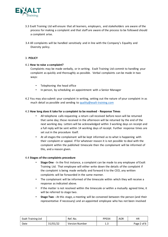

- 3.3 Exalt Training Ltd will ensure that all learners, employers, and stakeholders are aware of the process for making a complaint and that staff are aware of the process to be followed should a complaint arise.
- 3.4 All complaints will be handled sensitively and in line with the Company's Equality and Diversity policy.

# 3. **POLICY**

# 4.1 **How to raise a complaint?**

Complaints may be made verbally, or in writing. Exalt Training Ltd commit to handling your complaint as quickly and thoroughly as possible. Verbal complaints can be made in two ways:

- Telephoning the head office
- In person, by scheduling an appointment with a Senior Manager
- 4.2 You may also submit your complaint in writing, setting out the nature of your complaint in as much detail as possible and sending to quality@exalt-training.com

#### 4.3 **How long does it take for a complaint to be resolved - Response Times**

- All telephone calls requesting a return call received before noon will be returned that same day; those received in the afternoon will be returned by the end of the next working day. Letters will be acknowledged within 3 working days on receipt and a full reply will be sent within 14 working days of receipt. Further response times are set out in the procedure itself.
- At all stages the complainant will be kept informed as to what is happening with their complaint or appeal. If for whatever reason it is not possible to deal with the complaint within the published timescale then the complainant will be informed of this, and a reason given.

# 4.4 **Stages of the complaints procedure**

- **Stage One** In the first instance, a complaint can be made to any employee of Exalt Training Ltd. That employee will either write down the details of the complaint if the complaint is being made verbally and forward it to the CEO, any written complaints will be forwarded in the same manner.
- The complainant will be informed of the timescale within which they will receive a response as indicated above.
- If the matter is not resolved within the timescale or within a mutually agreed time, it will be referred to stage two.
- **Stage Two -** At this stage, a meeting will be convened between the person (and their representative if necessary) and an appointed employee who has not been involved

| Exalt Training Ltd |          | Ref. No.              | PP034 | <b>AOR</b> | НR          |
|--------------------|----------|-----------------------|-------|------------|-------------|
| Date               | 31/01/22 | <b>Version Number</b> | ر .   |            | Page 2 of 6 |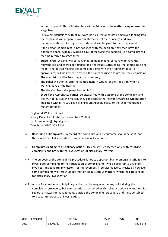

in the complaint. This will take place within 14 days of the matter being referred to stage two.

- Following discussions with all relevant parties, the appointed employee looking into the complaint will prepare a written statement of their findings and any recommendations. A copy of the statement will be given to the complainant.
- If the person complaining is not satisfied with the decision, they then have the option to appeal within 7 working days of receiving the decision. The complaint will then be referred to stage three.
- **Stage Three -** A panel will be convened of independent persons who have the relevant skill and knowledge understand the issues surrounding the complaint being made. The person making the complaint along with their representative (if appropriate) will be invited to attend the panel hearing and present their complaint. The complaint will be heard again in its entirety.
- The panel will then inform the complainant in writing of their decision within 3 working days of the hearing.
- The decision from this panel hearing is final.
- Should the Apprentice/learner be dissatisfied with outcome of the complaint and the wish to pursue the matter, they can contact the relevant Awarding Organisation indicated within, PP009 Exalt Training Ltd Appeals Policy or the undermentioned regulatory body: -

England & Wales – Ofqual Spring Place, Herald Avenue, Coventry CV5 8BA public.enquiries@ofqual.gov.uk Telephone: 0300 303 3344

- 4.5 **Recording of Complaints -** A record of a complaint and its outcome should be kept, and this should be filed separately from the individual's records.
- 4.6 **Complaints leading to disciplinary action -** This policy is concerned only with resolving complaints and not with the investigation of disciplinary matters.
- 4.7 The purpose of the complaint's procedure is not to apportion blame amongst staff. It is to investigate complaints to the satisfaction of complainants (while being fair to any staff involved) and to learn any lessons for improvement in service delivery. Inevitably however, some complaints will throw up information about serious matters, which indicate a need for disciplinary investigation.
- 4.8 A case for considering disciplinary action can be suggested at any point during the complaint's procedure, but consideration as to whether disciplinary action is warranted is a separate matter for management, outside the complaints procedure and must be subject to a separate process of investigation.

| <b>Exalt Training Ltd</b> |          | Ref. No.              | PP034     | <b>AOR</b> | ΗR          |
|---------------------------|----------|-----------------------|-----------|------------|-------------|
| Date                      | 31/01/22 | <b>Version Number</b> | 1<br>د. ⊥ |            | Page 3 of 6 |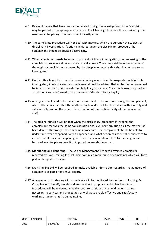

- 4.9 Relevant papers that have been accumulated during the investigation of the Complaint may be passed to the appropriate person in Exalt Training Ltd who will be considering the need for a disciplinary or other form of investigation.
- 4.10 The complaints procedure will not deal with matters, which are currently the subject of disciplinary investigation. If action is initiated under the disciplinary procedure the complainant should be advised accordingly.
- 4.11 When a decision is made to embark upon a disciplinary investigation, the processing of the complaint's procedure does not automatically cease. There may well be other aspects of the original complaint, not covered by the disciplinary inquiry that should continue to be investigated.
- 4.12 On the other hand, there may be no outstanding issues from the original complaint to be investigated, in which case the complainant should be advised that no further action would be taken other than that through the disciplinary procedure. The complainant may well ask at this point to be informed of the outcome of the disciplinary inquiry.
- 4.13 A judgment will need to be made; on the one hand, in terms of reassuring the complainant, who will be concerned that the matter complained about has been dealt with seriously and satisfactorily; and on the other, the protection of the confidentiality of the member of staff.
- 4.14 The guiding principle will be that when the disciplinary procedure is invoked, the complainant receives the same consideration and level of information as if the matter had been dealt with through the complaint's procedure. The complainant should be able to understand what happened, why it happened and what action has been taken therefore to ensure that it does not happen again. The complainant should be informed in general terms of any disciplinary sanction imposed on any staff member.
- 4.15 **Monitoring and Reporting -** The Senior Management Team will oversee complaints received by Exalt Training Ltd including continued monitoring of complaints which will form part of the quality reviews.
- 4.16 Exalt Training Ltd will be required to make available information regarding the numbers of complaints as part of its annual report.
- 4.17 Arrangements for dealing with complaints will be monitored by the Head of Funding & Compliance to identify trends and ensure that appropriate action has been taken. Procedures will be reviewed annually, both to consider any amendments that are necessary to services and procedures as well as to enable effective and satisfactory working arrangements to be maintained.

| <b>Exalt Training Ltd</b> |          | Ref. No.              | PP034 | <b>AOR</b> | ΗR          |
|---------------------------|----------|-----------------------|-------|------------|-------------|
| Date                      | 31/01/22 | <b>Version Number</b> | ر. 1  |            | Page 4 of 6 |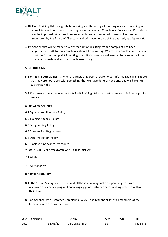

- 4.18 Exalt Training Ltd through its Monitoring and Reporting of the frequency and handling of complaints will constantly be looking for ways in which Complaints, Policies and Procedures can be improved. When such improvements are implemented, these will in turn be monitored by the Board of Director's and will become part of the quarterly quality report.
- 4.19 Spot checks will be made to verify that action resulting from a complaint has been implemented. All formal complaints should be in writing. Where the complainant is unable to put the formal complaint in writing, the HR Manager should ensure that a record of the complaint is made and ask the complainant to sign it.

# **5. DEFINITIONS**

- 5.1 **What is a Complaint?**  is when a learner, employer or stakeholder informs Exalt Training Ltd that they are not happy with something that we have done or not done, and we have not put things right.
- 5.2 **Customer**  is anyone who contacts Exalt Training Ltd to request a service or is in receipt of a service.

#### 6. **RELATED POLICIES**

- 6.1 Equality and Diversity Policy
- 6.2 Training Appeals Policy
- 6.3 Safeguarding Policy
- 6.4 Examination Regulations
- 6.5 Data Protection Policy
- 6.6 Employee Grievance Procedure

# 7. **WHO WILL NEED TO KNOW ABOUT THIS POLICY**

- 7.1 All staff
- 7.2 All Managers

#### **8.0 RESPONSIBILITY**

- 8.1 The Senior Management Team and all those in managerial or supervisory roles are responsible for developing and encouraging good customer care handling practice within their teams.
- 8.2 Compliance with Customer Complaints Policy is the responsibility of all members of the Company who deal with customers

| Exalt Training Ltd |          | Ref. No.              | PP034 | <b>AOR</b> | НR          |
|--------------------|----------|-----------------------|-------|------------|-------------|
| Date               | 31/01/22 | <b>Version Number</b> | 1.J   |            | Page 5 of 6 |